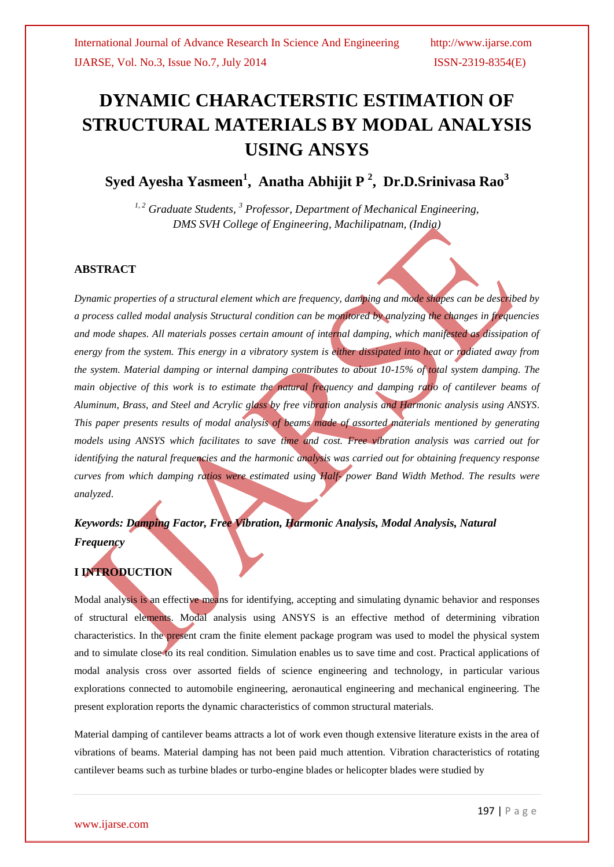# **DYNAMIC CHARACTERSTIC ESTIMATION OF STRUCTURAL MATERIALS BY MODAL ANALYSIS USING ANSYS**

**Syed Ayesha Yasmeen<sup>1</sup> , Anatha Abhijit P 2 , Dr.D.Srinivasa Rao<sup>3</sup>**

*1, 2 Graduate Students, <sup>3</sup> Professor, Department of Mechanical Engineering, DMS SVH College of Engineering, Machilipatnam, (India)*

### **ABSTRACT**

*Dynamic properties of a structural element which are frequency, damping and mode shapes can be described by a process called modal analysis Structural condition can be monitored by analyzing the changes in frequencies and mode shapes. All materials posses certain amount of internal damping, which manifested as dissipation of energy from the system. This energy in a vibratory system is either dissipated into heat or radiated away from the system. Material damping or internal damping contributes to about 10-15% of total system damping. The main objective of this work is to estimate the natural frequency and damping ratio of cantilever beams of Aluminum, Brass, and Steel and Acrylic glass by free vibration analysis and Harmonic analysis using ANSYS. This paper presents results of modal analysis of beams made of assorted materials mentioned by generating models using ANSYS which facilitates to save time and cost. Free vibration analysis was carried out for identifying the natural frequencies and the harmonic analysis was carried out for obtaining frequency response curves from which damping ratios were estimated using Half- power Band Width Method. The results were analyzed*.

*Keywords: Damping Factor, Free Vibration, Harmonic Analysis, Modal Analysis, Natural Frequency*

## **I INTRODUCTION**

Modal analysis is an effective means for identifying, accepting and simulating dynamic behavior and responses of structural elements. Modal analysis using ANSYS is an effective method of determining vibration characteristics. In the present cram the finite element package program was used to model the physical system and to simulate close to its real condition. Simulation enables us to save time and cost. Practical applications of modal analysis cross over assorted fields of science engineering and technology, in particular various explorations connected to automobile engineering, aeronautical engineering and mechanical engineering. The present exploration reports the dynamic characteristics of common structural materials.

Material damping of cantilever beams attracts a lot of work even though extensive literature exists in the area of vibrations of beams. Material damping has not been paid much attention. Vibration characteristics of rotating cantilever beams such as turbine blades or turbo-engine blades or helicopter blades were studied by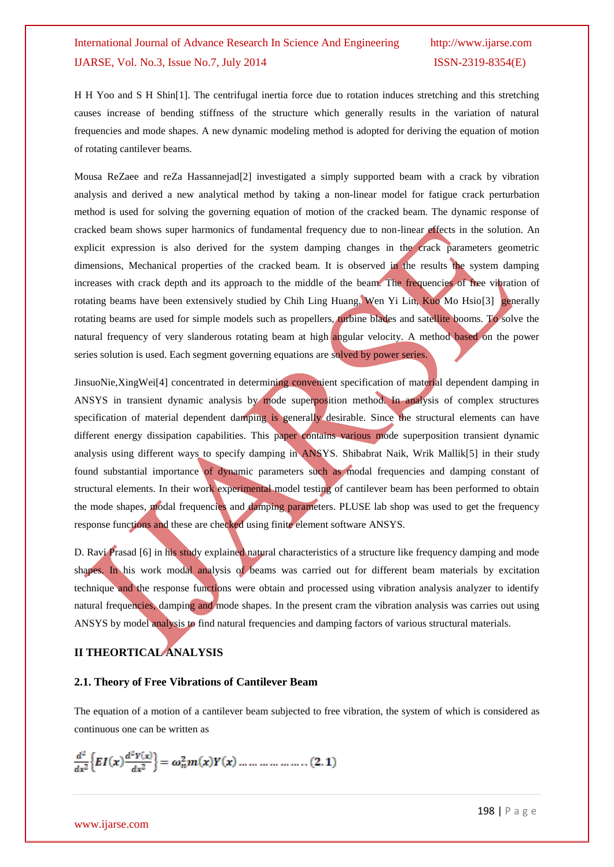H H Yoo and S H Shin[1]. The centrifugal inertia force due to rotation induces stretching and this stretching causes increase of bending stiffness of the structure which generally results in the variation of natural frequencies and mode shapes. A new dynamic modeling method is adopted for deriving the equation of motion of rotating cantilever beams.

Mousa ReZaee and reZa Hassannejad[2] investigated a simply supported beam with a crack by vibration analysis and derived a new analytical method by taking a non-linear model for fatigue crack perturbation method is used for solving the governing equation of motion of the cracked beam. The dynamic response of cracked beam shows super harmonics of fundamental frequency due to non-linear effects in the solution. An explicit expression is also derived for the system damping changes in the crack parameters geometric dimensions, Mechanical properties of the cracked beam. It is observed in the results the system damping increases with crack depth and its approach to the middle of the beam. The frequencies of free vibration of rotating beams have been extensively studied by Chih Ling Huang, Wen Yi Lin, Kuo Mo Hsio<sup>[3]</sup> generally rotating beams are used for simple models such as propellers, turbine blades and satellite booms. To solve the natural frequency of very slanderous rotating beam at high angular velocity. A method based on the power series solution is used. Each segment governing equations are solved by power series.

JinsuoNie, XingWei<sup>[4]</sup> concentrated in determining convenient specification of material dependent damping in ANSYS in transient dynamic analysis by mode superposition method. In analysis of complex structures specification of material dependent damping is generally desirable. Since the structural elements can have different energy dissipation capabilities. This paper contains various mode superposition transient dynamic analysis using different ways to specify damping in ANSYS. Shibabrat Naik, Wrik Mallik[5] in their study found substantial importance of dynamic parameters such as modal frequencies and damping constant of structural elements. In their work experimental model testing of cantilever beam has been performed to obtain the mode shapes, modal frequencies and damping parameters. PLUSE lab shop was used to get the frequency response functions and these are checked using finite element software ANSYS.

D. Ravi Prasad [6] in his study explained natural characteristics of a structure like frequency damping and mode shapes. In his work modal analysis of beams was carried out for different beam materials by excitation technique and the response functions were obtain and processed using vibration analysis analyzer to identify natural frequencies, damping and mode shapes. In the present cram the vibration analysis was carries out using ANSYS by model analysis to find natural frequencies and damping factors of various structural materials.

## **II THEORTICAL ANALYSIS**

#### **2.1. Theory of Free Vibrations of Cantilever Beam**

The equation of a motion of a cantilever beam subjected to free vibration, the system of which is considered as continuous one can be written as

$$
\frac{d^{2}}{dx^{2}}\Big\{EI(x)\frac{d^{2}Y(x)}{dx^{2}}\Big\} = \omega_{n}^{2}m(x)Y(x) \dots \dots \dots \dots \dots \dots \dots (2.1)
$$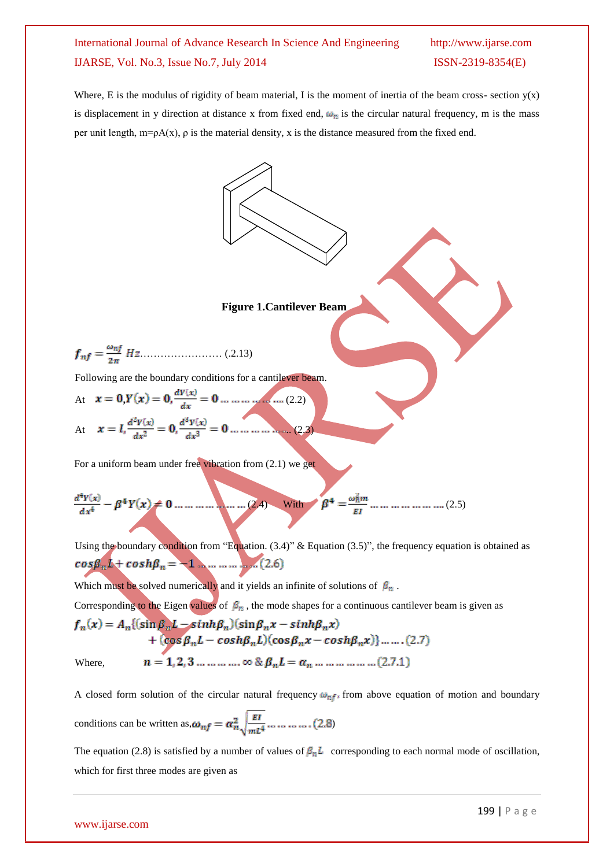╲

Where, E is the modulus of rigidity of beam material, I is the moment of inertia of the beam cross- section  $y(x)$ is displacement in y direction at distance x from fixed end,  $\omega_n$  is the circular natural frequency, m is the mass per unit length,  $m=pA(x)$ ,  $\rho$  is the material density, x is the distance measured from the fixed end.

Figure 1. Cantilever Beam  
\n
$$
f_{nf} = \frac{\omega_{nf}}{2\pi} Hz
$$
...(2.13)  
\nFollowing are the boundary conditions for a cantilever beam.  
\nAt  $x = 0$ ,  $Y(x) = 0$ ,  $\frac{d^2Y(x)}{dx^2} = 0$  ......... (2.2)  
\nAt  $x = l$ ,  $\frac{d^2Y(x)}{dx^2} = 0$ ,  $\frac{d^3Y(x)}{dx^3} = 0$  ......... (2.2)  
\nFor a uniform beam under free vibration from (2.1) we get  
\n
$$
\frac{d^4Y(x)}{dx^4} - \beta^4Y(x) = 0
$$
 ......... (2.4) With  $\beta^4 = \frac{\omega_{n}^2 m}{EI}$  ......... (2.5)  
\nUsing the boundary condition from "Equation. (3.4)" & Equation (3.5)", the frequency equation is obtained as  
\n $\cos\beta_n L + \cosh\beta_n = 1$  ......... (2.6)  
\nWhich must be solved numerically and it yields an infinite of solutions of  $\beta_n$ .  
\nCorresponding to the Eigen values of  $\beta_n$ , the mode shapes for a continuous cantilever beam is given as  
\n $f_n(x) = A_n\{(\sin\beta_n L - \sinh\beta_n)(\sin\beta_n x - \sinh\beta_n x)\}$ 

+  $(cos \beta_n L - cosh \beta_n L)(cos \beta_n x - cosh \beta_n x)$  ......(2.7)

Where,

$$
n = 1, 2, 3, \ldots, \ldots, \infty \& \beta_n L = \alpha_n, \ldots, \ldots, \ldots, \ldots, (2.7.1)
$$

A closed form solution of the circular natural frequency  $\omega_{nf}$ , from above equation of motion and boundary conditions can be written as,  $\omega_{nf} = \alpha_n^2 \sqrt{\frac{EI}{mL^4}} \dots \dots \dots \dots (2.8)$ 

The equation (2.8) is satisfied by a number of values of  $\beta_n L$  corresponding to each normal mode of oscillation, which for first three modes are given as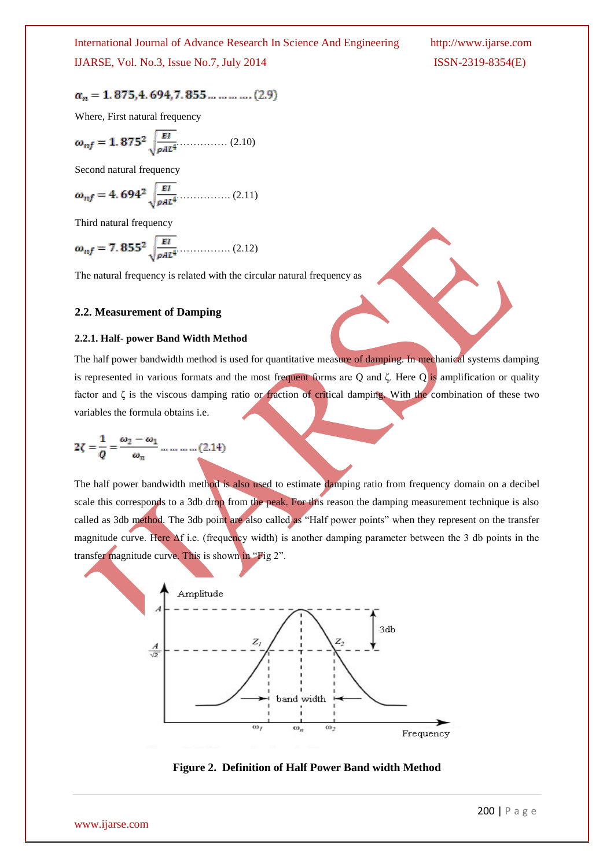## $\alpha_n=1.875,\!4.694,\!7.855\ldots\ldots\ldots\ldots(2.9)$

Where, First natural frequency

$$
\omega_{nf} = 1.875^2 \sqrt{\frac{EI}{\rho A L^4}} \dots (2.10)
$$

Second natural frequency

$$
\omega_{nf} = 4.694^2 \sqrt{\frac{EI}{\rho A L^4}} \dots (2.11)
$$

Third natural frequency

$$
\omega_{nf} = 7.855^2 \sqrt{\frac{EI}{\rho A L^4}}
$$
 (2.12)

The natural frequency is related with the circular natural frequency as

#### **2.2. Measurement of Damping**

#### **2.2.1. Half- power Band Width Method**

The half power bandwidth method is used for quantitative measure of damping. In mechanical systems damping is represented in various formats and the most frequent forms are Q and ζ. Here Q is amplification or quality factor and ζ is the viscous damping ratio or fraction of critical damping. With the combination of these two variables the formula obtains i.e.

$$
2\zeta = \frac{1}{Q} = \frac{\omega_2 - \omega_1}{\omega_n} \dots \dots \dots \dots (2.14)
$$

The half power bandwidth method is also used to estimate damping ratio from frequency domain on a decibel scale this corresponds to a 3db drop from the peak. For this reason the damping measurement technique is also called as 3db method. The 3db point are also called as "Half power points" when they represent on the transfer magnitude curve. Here ∆f i.e. (frequency width) is another damping parameter between the 3 db points in the transfer magnitude curve. This is shown in "Fig 2".



**Figure 2. Definition of Half Power Band width Method**

www.ijarse.com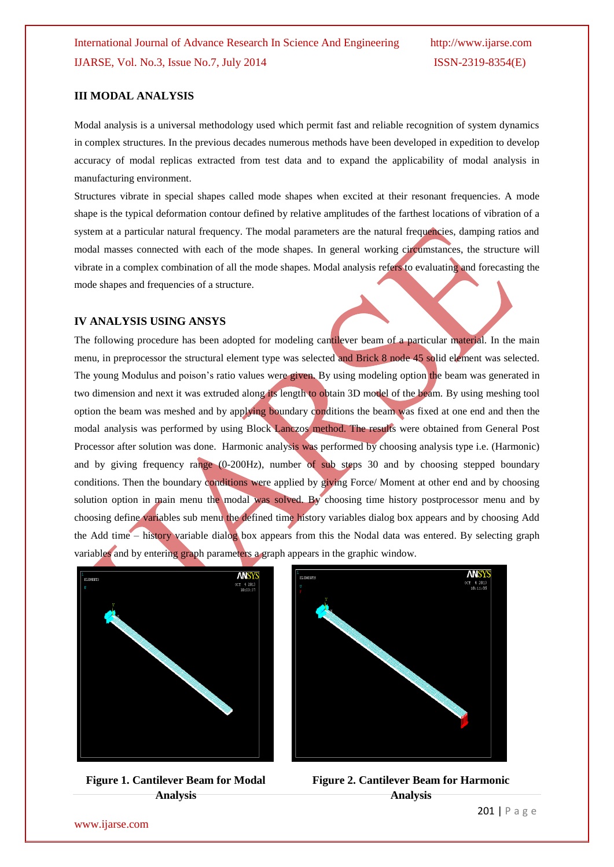#### **III MODAL ANALYSIS**

Modal analysis is a universal methodology used which permit fast and reliable recognition of system dynamics in complex structures. In the previous decades numerous methods have been developed in expedition to develop accuracy of modal replicas extracted from test data and to expand the applicability of modal analysis in manufacturing environment.

Structures vibrate in special shapes called mode shapes when excited at their resonant frequencies. A mode shape is the typical deformation contour defined by relative amplitudes of the farthest locations of vibration of a system at a particular natural frequency. The modal parameters are the natural frequencies, damping ratios and modal masses connected with each of the mode shapes. In general working circumstances, the structure will vibrate in a complex combination of all the mode shapes. Modal analysis refers to evaluating and forecasting the mode shapes and frequencies of a structure.

#### **IV ANALYSIS USING ANSYS**

The following procedure has been adopted for modeling cantilever beam of a particular material. In the main menu, in preprocessor the structural element type was selected and Brick 8 node 45 solid element was selected. The young Modulus and poison's ratio values were given. By using modeling option the beam was generated in two dimension and next it was extruded along its length to obtain 3D model of the beam. By using meshing tool option the beam was meshed and by applying boundary conditions the beam was fixed at one end and then the modal analysis was performed by using Block Lanczos method. The results were obtained from General Post Processor after solution was done. Harmonic analysis was performed by choosing analysis type i.e. (Harmonic) and by giving frequency range (0-200Hz), number of sub steps 30 and by choosing stepped boundary conditions. Then the boundary conditions were applied by giving Force/ Moment at other end and by choosing solution option in main menu the modal was solved. By choosing time history postprocessor menu and by choosing define variables sub menu the defined time history variables dialog box appears and by choosing Add the Add time – history variable dialog box appears from this the Nodal data was entered. By selecting graph variables and by entering graph parameters a graph appears in the graphic window.



**Figure 1. Cantilever Beam for Modal Analysis**



**Figure 2. Cantilever Beam for Harmonic Analysis**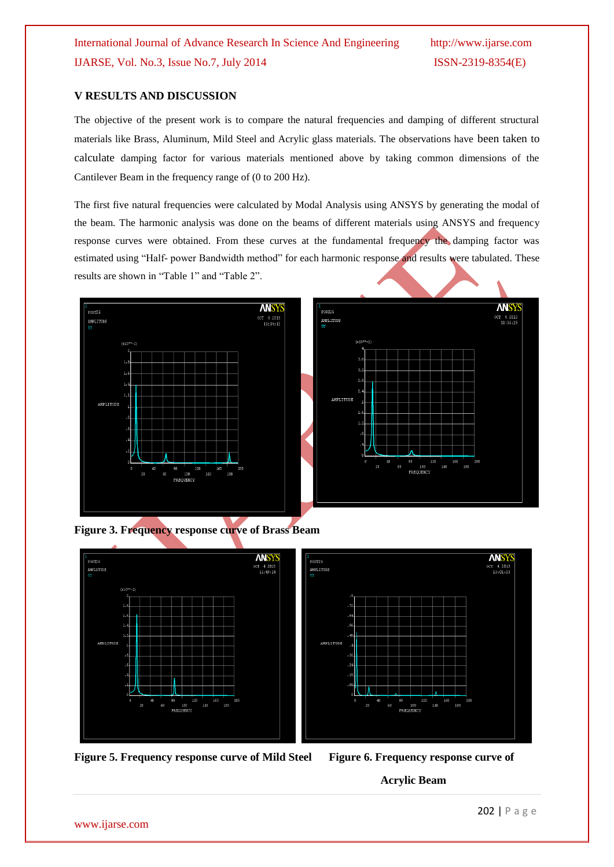### **V RESULTS AND DISCUSSION**

The objective of the present work is to compare the natural frequencies and damping of different structural materials like Brass, Aluminum, Mild Steel and Acrylic glass materials. The observations have been taken to calculate damping factor for various materials mentioned above by taking common dimensions of the Cantilever Beam in the frequency range of (0 to 200 Hz).

The first five natural frequencies were calculated by Modal Analysis using ANSYS by generating the modal of the beam. The harmonic analysis was done on the beams of different materials using ANSYS and frequency response curves were obtained. From these curves at the fundamental frequency the damping factor was estimated using "Half- power Bandwidth method" for each harmonic response and results were tabulated. These results are shown in "Table 1" and "Table 2".







**Figure 5. Frequency response curve of Mild Steel Figure 6. Frequency response curve of**

 **Acrylic Beam**

www.ijarse.com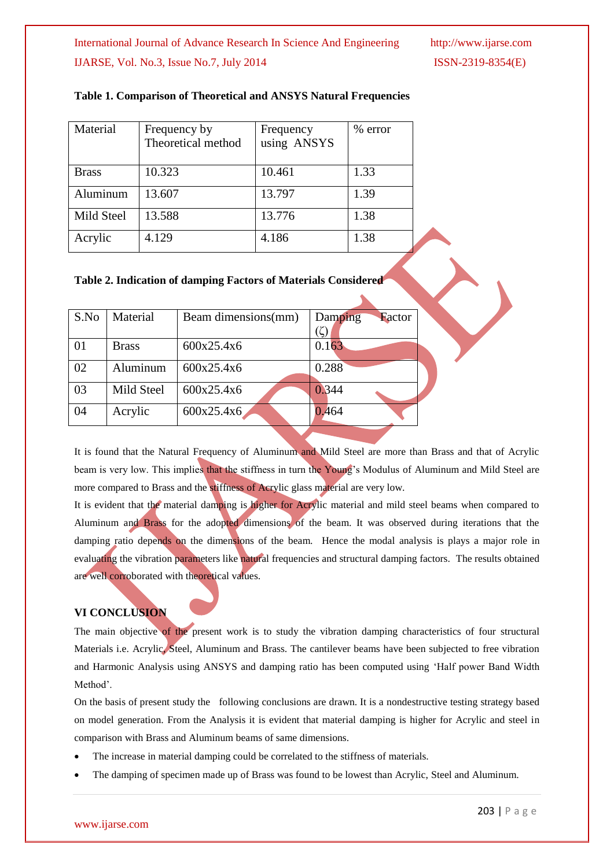| Material     | Frequency by<br>Theoretical method | Frequency<br>using ANSYS | $%$ error |
|--------------|------------------------------------|--------------------------|-----------|
| <b>Brass</b> | 10.323                             | 10.461                   | 1.33      |
| Aluminum     | 13.607                             | 13.797                   | 1.39      |
| Mild Steel   | 13.588                             | 13.776                   | 1.38      |
| Acrylic      | 4.129                              | 4.186                    | 1.38      |

#### **Table 1. Comparison of Theoretical and ANSYS Natural Frequencies**

#### **Table 2. Indication of damping Factors of Materials Considered**

| S.No | Material     | Beam dimensions(mm) | Damping<br>Factor |
|------|--------------|---------------------|-------------------|
| 01   | <b>Brass</b> | 600x25.4x6          | 0.163             |
| 02   | Aluminum     | 600x25.4x6          | 0.288             |
| 03   | Mild Steel   | 600x25.4x6          | 0.344             |
| 04   | Acrylic      | 600x25.4x6          | 0.464             |

It is found that the Natural Frequency of Aluminum and Mild Steel are more than Brass and that of Acrylic beam is very low. This implies that the stiffness in turn the Young's Modulus of Aluminum and Mild Steel are more compared to Brass and the stiffness of Acrylic glass material are very low.

It is evident that the material damping is higher for Acrylic material and mild steel beams when compared to Aluminum and Brass for the adopted dimensions of the beam. It was observed during iterations that the damping ratio depends on the dimensions of the beam. Hence the modal analysis is plays a major role in evaluating the vibration parameters like natural frequencies and structural damping factors. The results obtained are well corroborated with theoretical values.

#### **VI CONCLUSION**

The main objective of the present work is to study the vibration damping characteristics of four structural Materials i.e. Acrylic, Steel, Aluminum and Brass. The cantilever beams have been subjected to free vibration and Harmonic Analysis using ANSYS and damping ratio has been computed using "Half power Band Width Method'.

On the basis of present study the following conclusions are drawn. It is a nondestructive testing strategy based on model generation. From the Analysis it is evident that material damping is higher for Acrylic and steel in comparison with Brass and Aluminum beams of same dimensions.

- The increase in material damping could be correlated to the stiffness of materials.
- The damping of specimen made up of Brass was found to be lowest than Acrylic, Steel and Aluminum.